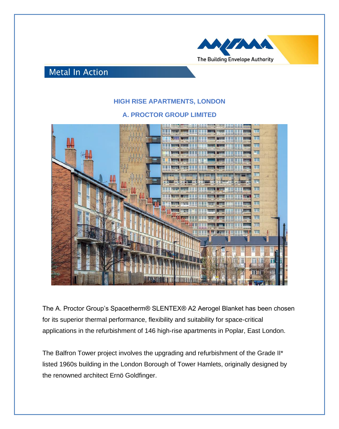

## **Metal In Action**

## **HIGH RISE APARTMENTS, LONDON**

## **A. PROCTOR GROUP LIMITED**



The A. Proctor Group's Spacetherm® SLENTEX® A2 Aerogel Blanket has been chosen for its superior thermal performance, flexibility and suitability for space-critical applications in the refurbishment of 146 high-rise apartments in Poplar, East London.

The Balfron Tower project involves the upgrading and refurbishment of the Grade II\* listed 1960s building in the London Borough of Tower Hamlets, originally designed by the renowned architect Ernö Goldfinger.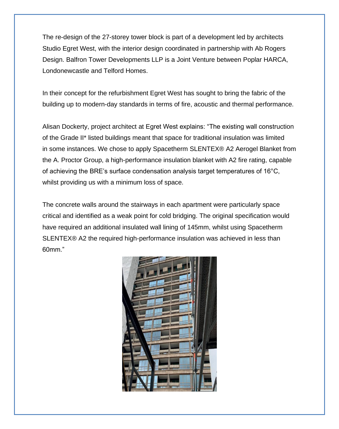The re-design of the 27-storey tower block is part of a development led by architects Studio Egret West, with the interior design coordinated in partnership with Ab Rogers Design. Balfron Tower Developments LLP is a Joint Venture between Poplar HARCA, Londonewcastle and Telford Homes.

In their concept for the refurbishment Egret West has sought to bring the fabric of the building up to modern-day standards in terms of fire, acoustic and thermal performance.

Alisan Dockerty, project architect at Egret West explains: "The existing wall construction of the Grade II\* listed buildings meant that space for traditional insulation was limited in some instances. We chose to apply Spacetherm SLENTEX® A2 Aerogel Blanket from the A. Proctor Group, a high-performance insulation blanket with A2 fire rating, capable of achieving the BRE's surface condensation analysis target temperatures of 16°C, whilst providing us with a minimum loss of space.

The concrete walls around the stairways in each apartment were particularly space critical and identified as a weak point for cold bridging. The original specification would have required an additional insulated wall lining of 145mm, whilst using Spacetherm SLENTEX® A2 the required high-performance insulation was achieved in less than 60mm."